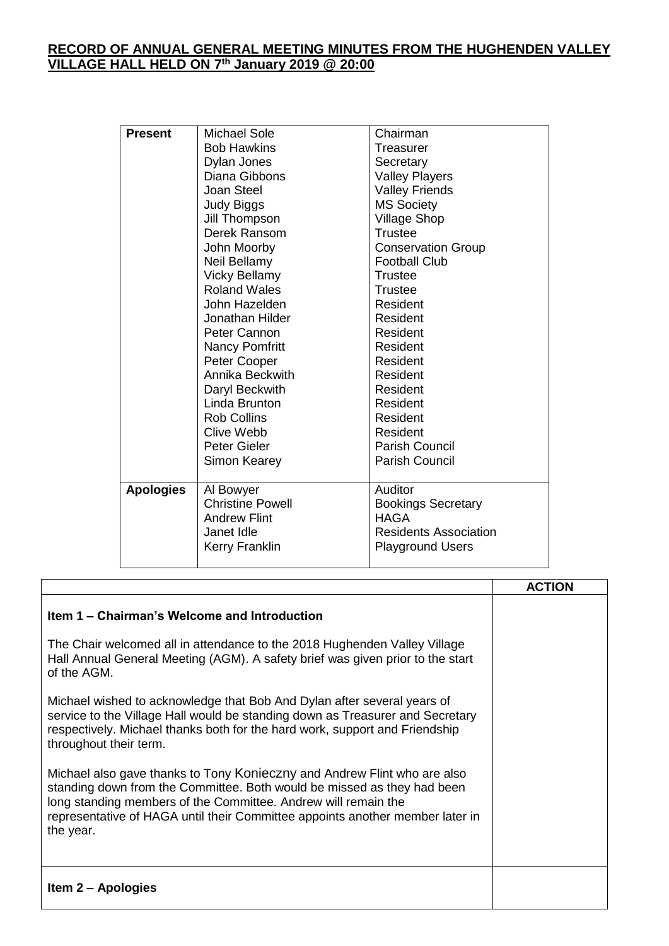### **RECORD OF ANNUAL GENERAL MEETING MINUTES FROM THE HUGHENDEN VALLEY VILLAGE HALL HELD ON 7 th January 2019 @ 20:00**

| <b>Present</b>   | <b>Michael Sole</b>     | Chairman                     |  |  |
|------------------|-------------------------|------------------------------|--|--|
|                  | <b>Bob Hawkins</b>      | Treasurer                    |  |  |
|                  | Dylan Jones             | Secretary                    |  |  |
|                  | Diana Gibbons           | <b>Valley Players</b>        |  |  |
|                  | Joan Steel              | <b>Valley Friends</b>        |  |  |
|                  | <b>Judy Biggs</b>       | <b>MS Society</b>            |  |  |
|                  | Jill Thompson           | <b>Village Shop</b>          |  |  |
|                  | Derek Ransom            | <b>Trustee</b>               |  |  |
|                  | John Moorby             | <b>Conservation Group</b>    |  |  |
|                  | Neil Bellamy            | <b>Football Club</b>         |  |  |
|                  | <b>Vicky Bellamy</b>    | Trustee                      |  |  |
|                  | <b>Roland Wales</b>     | <b>Trustee</b>               |  |  |
|                  | John Hazelden           | Resident                     |  |  |
|                  | Jonathan Hilder         | Resident                     |  |  |
|                  | Peter Cannon            | Resident                     |  |  |
|                  | <b>Nancy Pomfritt</b>   | Resident                     |  |  |
|                  | Peter Cooper            | Resident                     |  |  |
|                  | Annika Beckwith         | Resident                     |  |  |
|                  | Daryl Beckwith          | Resident                     |  |  |
|                  | Linda Brunton           | Resident                     |  |  |
|                  | <b>Rob Collins</b>      | Resident                     |  |  |
|                  | <b>Clive Webb</b>       | Resident                     |  |  |
|                  | <b>Peter Gieler</b>     | <b>Parish Council</b>        |  |  |
|                  | Simon Kearey            | <b>Parish Council</b>        |  |  |
|                  |                         |                              |  |  |
| <b>Apologies</b> | Al Bowyer               | Auditor                      |  |  |
|                  | <b>Christine Powell</b> | <b>Bookings Secretary</b>    |  |  |
|                  | <b>Andrew Flint</b>     | HAGA                         |  |  |
|                  | Janet Idle              | <b>Residents Association</b> |  |  |
|                  | Kerry Franklin          | <b>Playground Users</b>      |  |  |
|                  |                         |                              |  |  |

|                                                                                                                                                                                                                                                                                                                     | <b>ACTION</b> |
|---------------------------------------------------------------------------------------------------------------------------------------------------------------------------------------------------------------------------------------------------------------------------------------------------------------------|---------------|
| Item 1 – Chairman's Welcome and Introduction                                                                                                                                                                                                                                                                        |               |
| The Chair welcomed all in attendance to the 2018 Hughenden Valley Village<br>Hall Annual General Meeting (AGM). A safety brief was given prior to the start<br>of the AGM.                                                                                                                                          |               |
| Michael wished to acknowledge that Bob And Dylan after several years of<br>service to the Village Hall would be standing down as Treasurer and Secretary<br>respectively. Michael thanks both for the hard work, support and Friendship<br>throughout their term.                                                   |               |
| Michael also gave thanks to Tony Konieczny and Andrew Flint who are also<br>standing down from the Committee. Both would be missed as they had been<br>long standing members of the Committee. Andrew will remain the<br>representative of HAGA until their Committee appoints another member later in<br>the year. |               |
| Item 2 – Apologies                                                                                                                                                                                                                                                                                                  |               |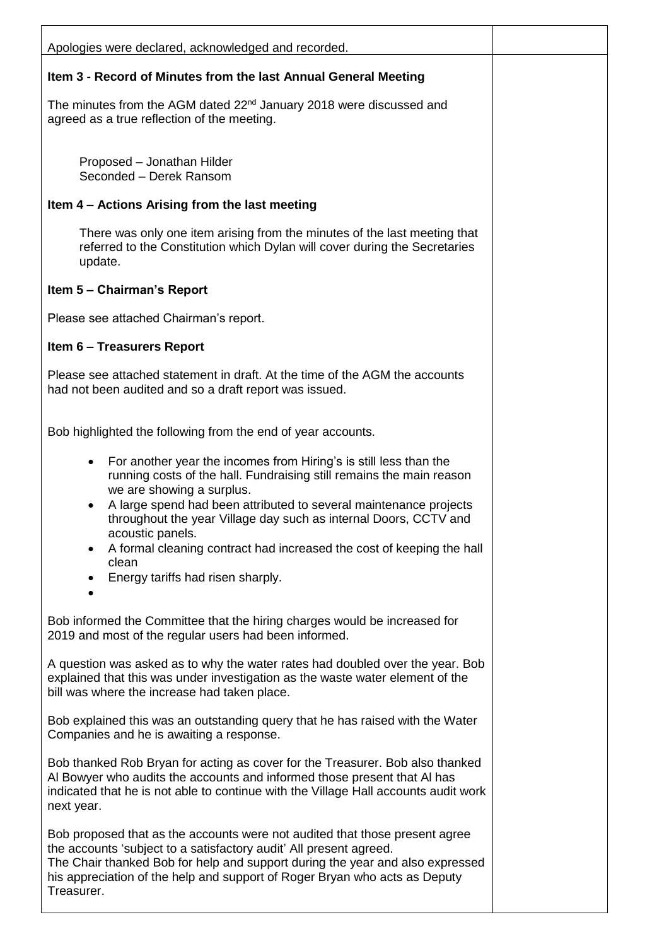| Apologies were declared, acknowledged and recorded.                                                                                                                                                                                                                                                                                                                                                                                                                                  |  |
|--------------------------------------------------------------------------------------------------------------------------------------------------------------------------------------------------------------------------------------------------------------------------------------------------------------------------------------------------------------------------------------------------------------------------------------------------------------------------------------|--|
| Item 3 - Record of Minutes from the last Annual General Meeting                                                                                                                                                                                                                                                                                                                                                                                                                      |  |
| The minutes from the AGM dated 22 <sup>nd</sup> January 2018 were discussed and<br>agreed as a true reflection of the meeting.                                                                                                                                                                                                                                                                                                                                                       |  |
| Proposed - Jonathan Hilder<br>Seconded - Derek Ransom                                                                                                                                                                                                                                                                                                                                                                                                                                |  |
| Item 4 – Actions Arising from the last meeting                                                                                                                                                                                                                                                                                                                                                                                                                                       |  |
| There was only one item arising from the minutes of the last meeting that<br>referred to the Constitution which Dylan will cover during the Secretaries<br>update.                                                                                                                                                                                                                                                                                                                   |  |
| Item 5 - Chairman's Report                                                                                                                                                                                                                                                                                                                                                                                                                                                           |  |
| Please see attached Chairman's report.                                                                                                                                                                                                                                                                                                                                                                                                                                               |  |
| <b>Item 6 – Treasurers Report</b>                                                                                                                                                                                                                                                                                                                                                                                                                                                    |  |
| Please see attached statement in draft. At the time of the AGM the accounts<br>had not been audited and so a draft report was issued.                                                                                                                                                                                                                                                                                                                                                |  |
| Bob highlighted the following from the end of year accounts.                                                                                                                                                                                                                                                                                                                                                                                                                         |  |
| For another year the incomes from Hiring's is still less than the<br>$\bullet$<br>running costs of the hall. Fundraising still remains the main reason<br>we are showing a surplus.<br>A large spend had been attributed to several maintenance projects<br>throughout the year Village day such as internal Doors, CCTV and<br>acoustic panels.<br>A formal cleaning contract had increased the cost of keeping the hall<br>$\bullet$<br>clean<br>Energy tariffs had risen sharply. |  |
| Bob informed the Committee that the hiring charges would be increased for<br>2019 and most of the regular users had been informed.                                                                                                                                                                                                                                                                                                                                                   |  |
| A question was asked as to why the water rates had doubled over the year. Bob<br>explained that this was under investigation as the waste water element of the<br>bill was where the increase had taken place.                                                                                                                                                                                                                                                                       |  |
| Bob explained this was an outstanding query that he has raised with the Water<br>Companies and he is awaiting a response.                                                                                                                                                                                                                                                                                                                                                            |  |
| Bob thanked Rob Bryan for acting as cover for the Treasurer. Bob also thanked<br>Al Bowyer who audits the accounts and informed those present that Al has<br>indicated that he is not able to continue with the Village Hall accounts audit work<br>next year.                                                                                                                                                                                                                       |  |
| Bob proposed that as the accounts were not audited that those present agree<br>the accounts 'subject to a satisfactory audit' All present agreed.<br>The Chair thanked Bob for help and support during the year and also expressed<br>his appreciation of the help and support of Roger Bryan who acts as Deputy<br>Treasurer.                                                                                                                                                       |  |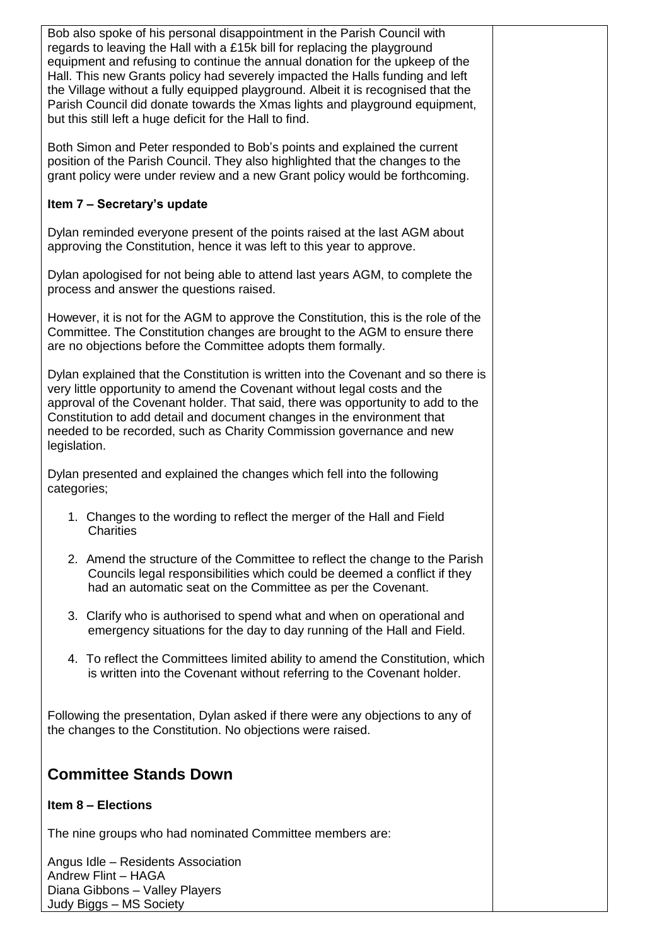| Bob also spoke of his personal disappointment in the Parish Council with<br>regards to leaving the Hall with a £15k bill for replacing the playground<br>equipment and refusing to continue the annual donation for the upkeep of the<br>Hall. This new Grants policy had severely impacted the Halls funding and left<br>the Village without a fully equipped playground. Albeit it is recognised that the<br>Parish Council did donate towards the Xmas lights and playground equipment,<br>but this still left a huge deficit for the Hall to find. |  |  |  |
|--------------------------------------------------------------------------------------------------------------------------------------------------------------------------------------------------------------------------------------------------------------------------------------------------------------------------------------------------------------------------------------------------------------------------------------------------------------------------------------------------------------------------------------------------------|--|--|--|
| Both Simon and Peter responded to Bob's points and explained the current<br>position of the Parish Council. They also highlighted that the changes to the<br>grant policy were under review and a new Grant policy would be forthcoming.                                                                                                                                                                                                                                                                                                               |  |  |  |
| Item 7 – Secretary's update                                                                                                                                                                                                                                                                                                                                                                                                                                                                                                                            |  |  |  |
| Dylan reminded everyone present of the points raised at the last AGM about<br>approving the Constitution, hence it was left to this year to approve.                                                                                                                                                                                                                                                                                                                                                                                                   |  |  |  |
| Dylan apologised for not being able to attend last years AGM, to complete the<br>process and answer the questions raised.                                                                                                                                                                                                                                                                                                                                                                                                                              |  |  |  |
| However, it is not for the AGM to approve the Constitution, this is the role of the<br>Committee. The Constitution changes are brought to the AGM to ensure there<br>are no objections before the Committee adopts them formally.                                                                                                                                                                                                                                                                                                                      |  |  |  |
| Dylan explained that the Constitution is written into the Covenant and so there is<br>very little opportunity to amend the Covenant without legal costs and the<br>approval of the Covenant holder. That said, there was opportunity to add to the<br>Constitution to add detail and document changes in the environment that<br>needed to be recorded, such as Charity Commission governance and new<br>legislation.                                                                                                                                  |  |  |  |
| Dylan presented and explained the changes which fell into the following<br>categories;                                                                                                                                                                                                                                                                                                                                                                                                                                                                 |  |  |  |
| 1. Changes to the wording to reflect the merger of the Hall and Field<br><b>Charities</b>                                                                                                                                                                                                                                                                                                                                                                                                                                                              |  |  |  |
| 2. Amend the structure of the Committee to reflect the change to the Parish<br>Councils legal responsibilities which could be deemed a conflict if they<br>had an automatic seat on the Committee as per the Covenant.                                                                                                                                                                                                                                                                                                                                 |  |  |  |
| 3. Clarify who is authorised to spend what and when on operational and<br>emergency situations for the day to day running of the Hall and Field.                                                                                                                                                                                                                                                                                                                                                                                                       |  |  |  |
| 4. To reflect the Committees limited ability to amend the Constitution, which<br>is written into the Covenant without referring to the Covenant holder.                                                                                                                                                                                                                                                                                                                                                                                                |  |  |  |
| Following the presentation, Dylan asked if there were any objections to any of<br>the changes to the Constitution. No objections were raised.                                                                                                                                                                                                                                                                                                                                                                                                          |  |  |  |
| <b>Committee Stands Down</b>                                                                                                                                                                                                                                                                                                                                                                                                                                                                                                                           |  |  |  |
| <b>Item 8 - Elections</b>                                                                                                                                                                                                                                                                                                                                                                                                                                                                                                                              |  |  |  |
| The nine groups who had nominated Committee members are:                                                                                                                                                                                                                                                                                                                                                                                                                                                                                               |  |  |  |
| Angus Idle - Residents Association<br>Andrew Flint - HAGA<br>Diana Gibbons - Valley Players                                                                                                                                                                                                                                                                                                                                                                                                                                                            |  |  |  |
| Judy Biggs - MS Society                                                                                                                                                                                                                                                                                                                                                                                                                                                                                                                                |  |  |  |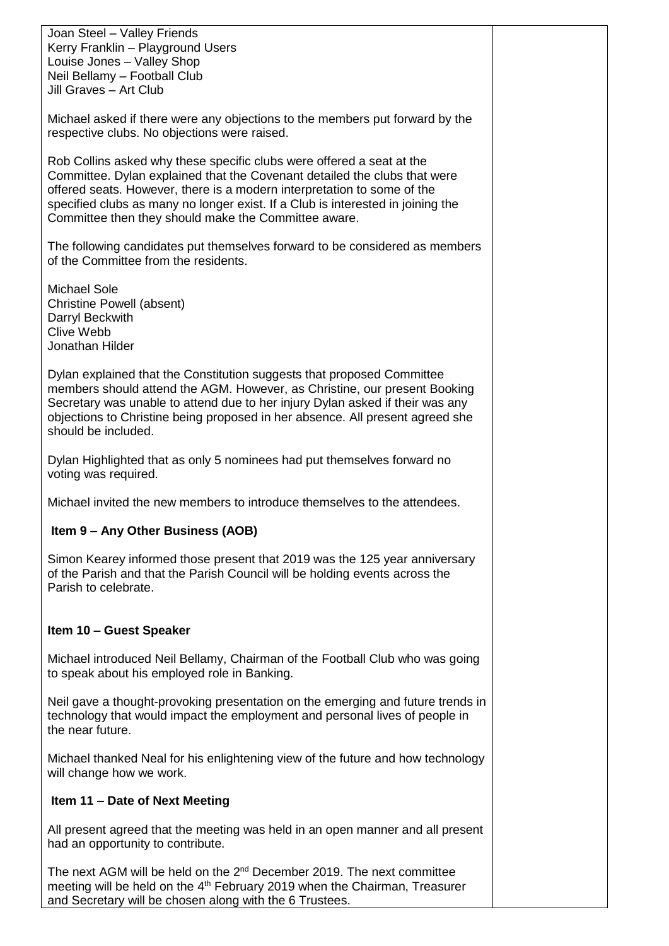Joan Steel – Valley Friends Kerry Franklin – Playground Users Louise Jones – Valley Shop Neil Bellamy – Football Club Jill Graves – Art Club

Michael asked if there were any objections to the members put forward by the respective clubs. No objections were raised.

Rob Collins asked why these specific clubs were offered a seat at the Committee. Dylan explained that the Covenant detailed the clubs that were offered seats. However, there is a modern interpretation to some of the specified clubs as many no longer exist. If a Club is interested in joining the Committee then they should make the Committee aware.

The following candidates put themselves forward to be considered as members of the Committee from the residents.

Michael Sole Christine Powell (absent) Darryl Beckwith Clive Webb Jonathan Hilder

Dylan explained that the Constitution suggests that proposed Committee members should attend the AGM. However, as Christine, our present Booking Secretary was unable to attend due to her injury Dylan asked if their was any objections to Christine being proposed in her absence. All present agreed she should be included.

Dylan Highlighted that as only 5 nominees had put themselves forward no voting was required.

Michael invited the new members to introduce themselves to the attendees.

### **Item 9 – Any Other Business (AOB)**

Simon Kearey informed those present that 2019 was the 125 year anniversary of the Parish and that the Parish Council will be holding events across the Parish to celebrate.

### **Item 10 – Guest Speaker**

Michael introduced Neil Bellamy, Chairman of the Football Club who was going to speak about his employed role in Banking.

Neil gave a thought-provoking presentation on the emerging and future trends in technology that would impact the employment and personal lives of people in the near future.

Michael thanked Neal for his enlightening view of the future and how technology will change how we work.

#### **Item 11 – Date of Next Meeting**

All present agreed that the meeting was held in an open manner and all present had an opportunity to contribute.

The next AGM will be held on the 2<sup>nd</sup> December 2019. The next committee meeting will be held on the 4<sup>th</sup> February 2019 when the Chairman, Treasurer and Secretary will be chosen along with the 6 Trustees.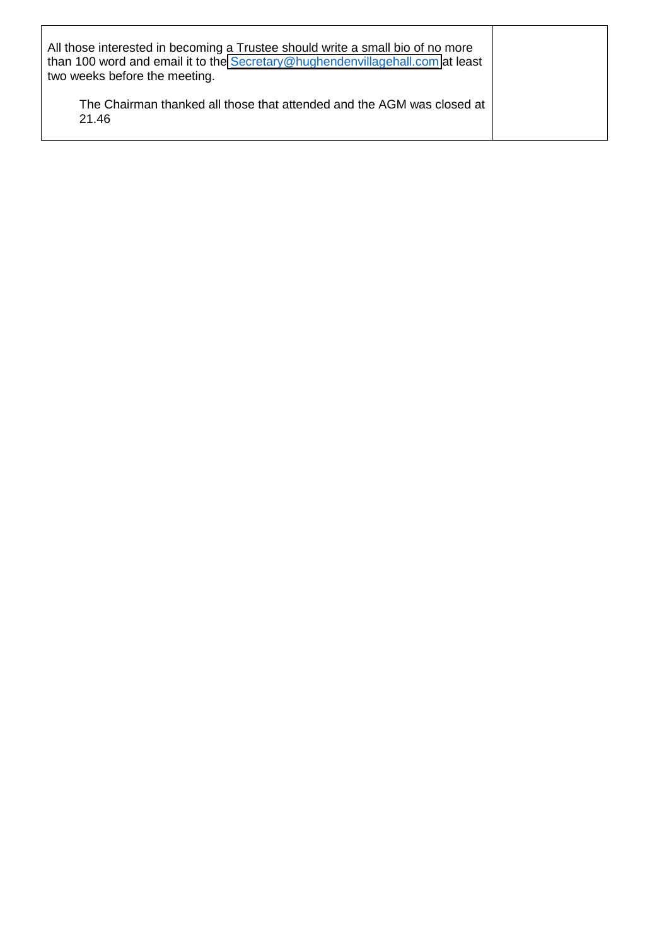| All those interested in becoming a Trustee should write a small bio of no more<br>than 100 word and email it to the Secretary@hughendenvillagehall.com at least<br>two weeks before the meeting. |  |
|--------------------------------------------------------------------------------------------------------------------------------------------------------------------------------------------------|--|
| The Chairman thanked all those that attended and the AGM was closed at<br>21.46                                                                                                                  |  |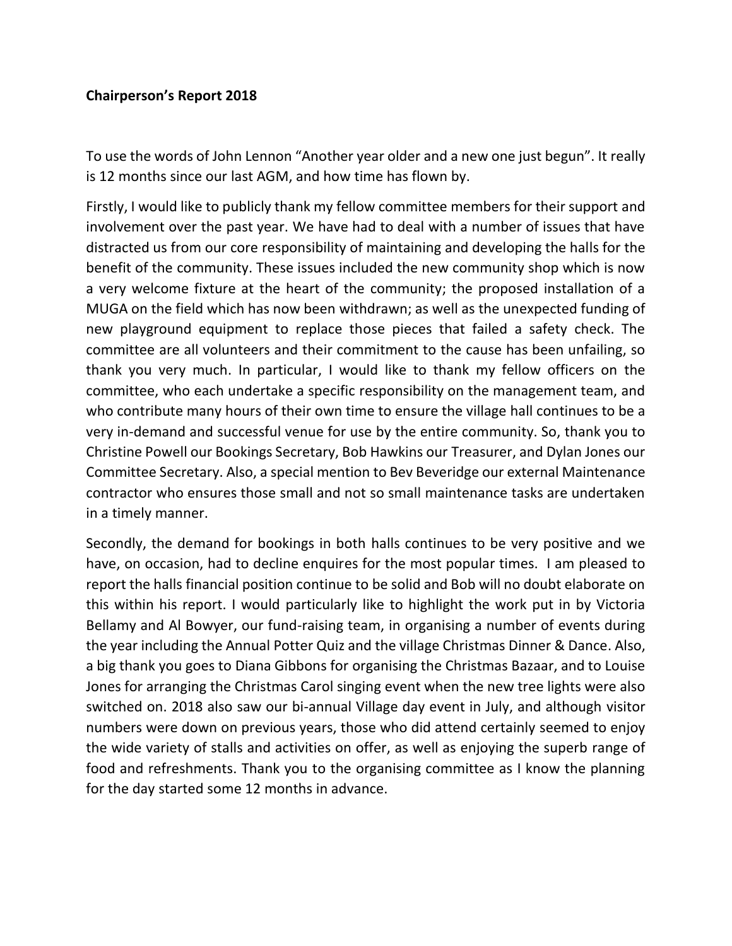### **Chairperson's Report 2018**

To use the words of John Lennon "Another year older and a new one just begun". It really is 12 months since our last AGM, and how time has flown by.

Firstly, I would like to publicly thank my fellow committee members for their support and involvement over the past year. We have had to deal with a number of issues that have distracted us from our core responsibility of maintaining and developing the halls for the benefit of the community. These issues included the new community shop which is now a very welcome fixture at the heart of the community; the proposed installation of a MUGA on the field which has now been withdrawn; as well as the unexpected funding of new playground equipment to replace those pieces that failed a safety check. The committee are all volunteers and their commitment to the cause has been unfailing, so thank you very much. In particular, I would like to thank my fellow officers on the committee, who each undertake a specific responsibility on the management team, and who contribute many hours of their own time to ensure the village hall continues to be a very in-demand and successful venue for use by the entire community. So, thank you to Christine Powell our Bookings Secretary, Bob Hawkins our Treasurer, and Dylan Jones our Committee Secretary. Also, a special mention to Bev Beveridge our external Maintenance contractor who ensures those small and not so small maintenance tasks are undertaken in a timely manner.

Secondly, the demand for bookings in both halls continues to be very positive and we have, on occasion, had to decline enquires for the most popular times. I am pleased to report the halls financial position continue to be solid and Bob will no doubt elaborate on this within his report. I would particularly like to highlight the work put in by Victoria Bellamy and Al Bowyer, our fund-raising team, in organising a number of events during the year including the Annual Potter Quiz and the village Christmas Dinner & Dance. Also, a big thank you goes to Diana Gibbons for organising the Christmas Bazaar, and to Louise Jones for arranging the Christmas Carol singing event when the new tree lights were also switched on. 2018 also saw our bi-annual Village day event in July, and although visitor numbers were down on previous years, those who did attend certainly seemed to enjoy the wide variety of stalls and activities on offer, as well as enjoying the superb range of food and refreshments. Thank you to the organising committee as I know the planning for the day started some 12 months in advance.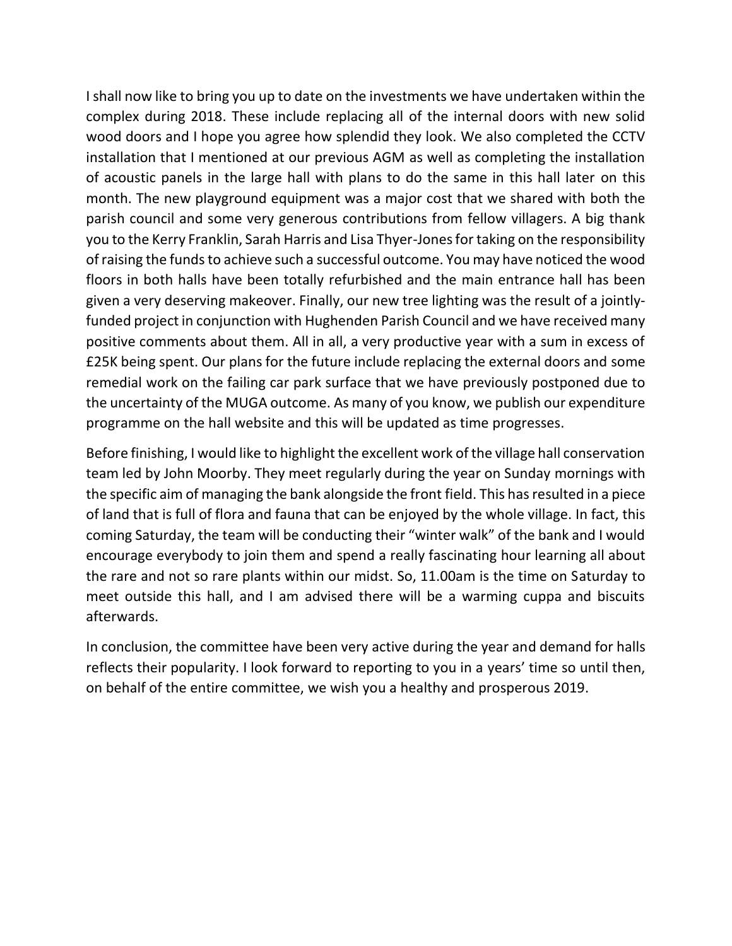I shall now like to bring you up to date on the investments we have undertaken within the complex during 2018. These include replacing all of the internal doors with new solid wood doors and I hope you agree how splendid they look. We also completed the CCTV installation that I mentioned at our previous AGM as well as completing the installation of acoustic panels in the large hall with plans to do the same in this hall later on this month. The new playground equipment was a major cost that we shared with both the parish council and some very generous contributions from fellow villagers. A big thank you to the Kerry Franklin, Sarah Harris and Lisa Thyer-Jones for taking on the responsibility of raising the funds to achieve such a successful outcome. You may have noticed the wood floors in both halls have been totally refurbished and the main entrance hall has been given a very deserving makeover. Finally, our new tree lighting was the result of a jointlyfunded project in conjunction with Hughenden Parish Council and we have received many positive comments about them. All in all, a very productive year with a sum in excess of £25K being spent. Our plans for the future include replacing the external doors and some remedial work on the failing car park surface that we have previously postponed due to the uncertainty of the MUGA outcome. As many of you know, we publish our expenditure programme on the hall website and this will be updated as time progresses.

Before finishing, I would like to highlight the excellent work of the village hall conservation team led by John Moorby. They meet regularly during the year on Sunday mornings with the specific aim of managing the bank alongside the front field. This has resulted in a piece of land that is full of flora and fauna that can be enjoyed by the whole village. In fact, this coming Saturday, the team will be conducting their "winter walk" of the bank and I would encourage everybody to join them and spend a really fascinating hour learning all about the rare and not so rare plants within our midst. So, 11.00am is the time on Saturday to meet outside this hall, and I am advised there will be a warming cuppa and biscuits afterwards.

In conclusion, the committee have been very active during the year and demand for halls reflects their popularity. I look forward to reporting to you in a years' time so until then, on behalf of the entire committee, we wish you a healthy and prosperous 2019.